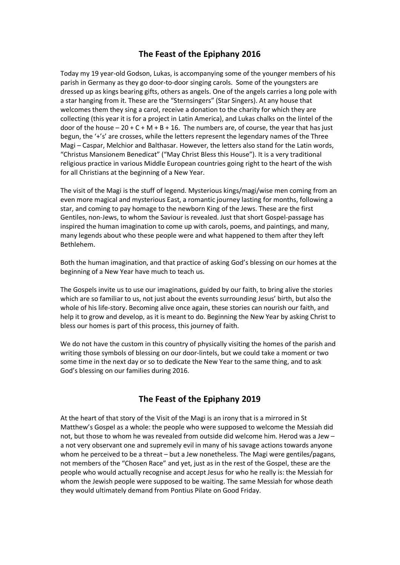## **The Feast of the Epiphany 2016**

Today my 19 year-old Godson, Lukas, is accompanying some of the younger members of his parish in Germany as they go door-to-door singing carols. Some of the youngsters are dressed up as kings bearing gifts, others as angels. One of the angels carries a long pole with a star hanging from it. These are the "Sternsingers" (Star Singers). At any house that welcomes them they sing a carol, receive a donation to the charity for which they are collecting (this year it is for a project in Latin America), and Lukas chalks on the lintel of the door of the house  $-20 + C + M + B + 16$ . The numbers are, of course, the year that has just begun, the '+'s' are crosses, while the letters represent the legendary names of the Three Magi – Caspar, Melchior and Balthasar. However, the letters also stand for the Latin words, "Christus Mansionem Benedicat" ("May Christ Bless this House"). It is a very traditional religious practice in various Middle European countries going right to the heart of the wish for all Christians at the beginning of a New Year.

The visit of the Magi is the stuff of legend. Mysterious kings/magi/wise men coming from an even more magical and mysterious East, a romantic journey lasting for months, following a star, and coming to pay homage to the newborn King of the Jews. These are the first Gentiles, non-Jews, to whom the Saviour is revealed. Just that short Gospel-passage has inspired the human imagination to come up with carols, poems, and paintings, and many, many legends about who these people were and what happened to them after they left Bethlehem.

Both the human imagination, and that practice of asking God's blessing on our homes at the beginning of a New Year have much to teach us.

The Gospels invite us to use our imaginations, guided by our faith, to bring alive the stories which are so familiar to us, not just about the events surrounding Jesus' birth, but also the whole of his life-story. Becoming alive once again, these stories can nourish our faith, and help it to grow and develop, as it is meant to do. Beginning the New Year by asking Christ to bless our homes is part of this process, this journey of faith.

We do not have the custom in this country of physically visiting the homes of the parish and writing those symbols of blessing on our door-lintels, but we could take a moment or two some time in the next day or so to dedicate the New Year to the same thing, and to ask God's blessing on our families during 2016.

## **The Feast of the Epiphany 2019**

At the heart of that story of the Visit of the Magi is an irony that is a mirrored in St Matthew's Gospel as a whole: the people who were supposed to welcome the Messiah did not, but those to whom he was revealed from outside did welcome him. Herod was a Jew – a not very observant one and supremely evil in many of his savage actions towards anyone whom he perceived to be a threat – but a Jew nonetheless. The Magi were gentiles/pagans, not members of the "Chosen Race" and yet, just as in the rest of the Gospel, these are the people who would actually recognise and accept Jesus for who he really is: the Messiah for whom the Jewish people were supposed to be waiting. The same Messiah for whose death they would ultimately demand from Pontius Pilate on Good Friday.